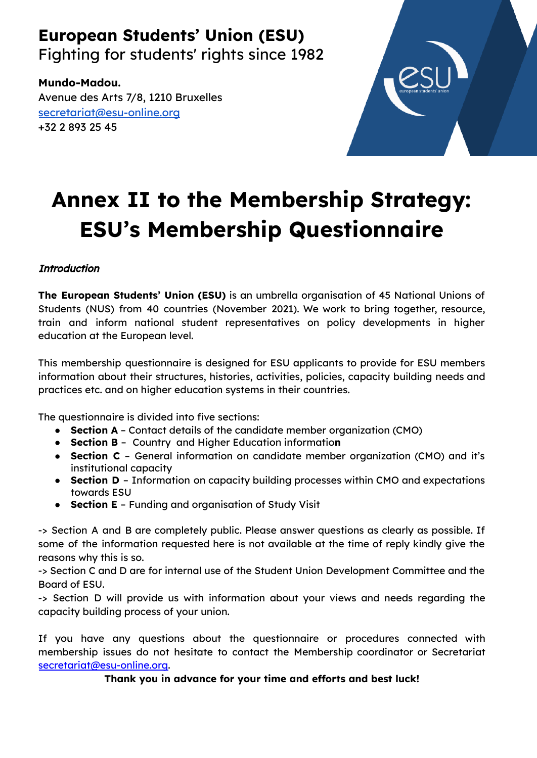# **European Students' Union (ESU)**

Fighting for students' rights since 1982

**Mundo-Madou.** Avenue des Arts 7/8, 1210 Bruxelles [secretariat@esu-online.org](mailto:secretariat@esu-online.org) +32 2 893 25 45



# **Annex II to the Membership Strategy: ESU's Membership Questionnaire**

# **Introduction**

**The European Students' Union (ESU)** is an umbrella organisation of 45 National Unions of Students (NUS) from 40 countries (November 2021). We work to bring together, resource, train and inform national student representatives on policy developments in higher education at the European level.

This membership questionnaire is designed for ESU applicants to provide for ESU members information about their structures, histories, activities, policies, capacity building needs and practices etc. and on higher education systems in their countries.

The questionnaire is divided into five sections:

- **Section A** Contact details of the candidate member organization (CMO)
- **Section B** Country and Higher Education informatio**n**
- **Section C** General information on candidate member organization (CMO) and it's institutional capacity
- **Section D** Information on capacity building processes within CMO and expectations towards ESU
- **Section E** Funding and organisation of Study Visit

-> Section A and B are completely public. Please answer questions as clearly as possible. If some of the information requested here is not available at the time of reply kindly give the reasons why this is so.

-> Section C and D are for internal use of the Student Union Development Committee and the Board of ESU.

-> Section D will provide us with information about your views and needs regarding the capacity building process of your union.

If you have any questions about the questionnaire or procedures connected with membership issues do not hesitate to contact the Membership coordinator or Secretariat [secretariat@esu-online.org.](mailto:secretariat@esu-online.org)

**Thank you in advance for your time and efforts and best luck!**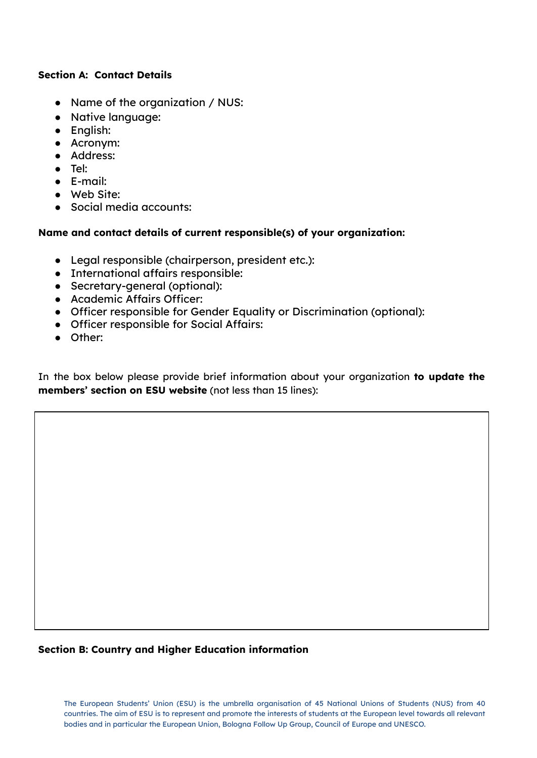#### **Section A: Contact Details**

- Name of the organization / NUS:
- Native language:
- English:
- Acronym:
- Address:
- Tel:
- E-mail:
- Web Site:
- Social media accounts:

# **Name and contact details of current responsible(s) of your organization:**

- Legal responsible (chairperson, president etc.):
- International affairs responsible:
- Secretary-general (optional):
- Academic Affairs Officer:
- Officer responsible for Gender Equality or Discrimination (optional):
- Officer responsible for Social Affairs:
- Other:

In the box below please provide brief information about your organization **to update the members' section on ESU website** (not less than 15 lines):

# **Section B: Country and Higher Education information**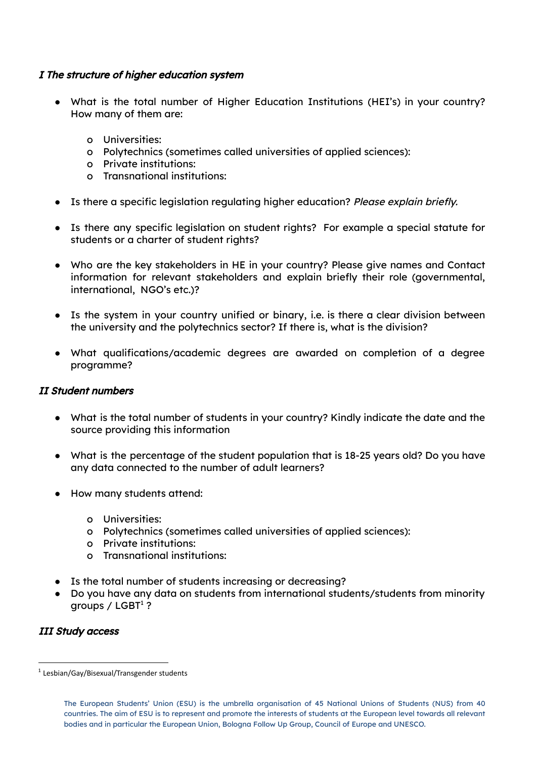#### I The structure of higher education system

- What is the total number of Higher Education Institutions (HEI's) in your country? How many of them are:
	- o Universities:
	- o Polytechnics (sometimes called universities of applied sciences):
	- o Private institutions:
	- o Transnational institutions:
- Is there a specific legislation regulating higher education? Please explain briefly.
- Is there any specific legislation on student rights? For example a special statute for students or a charter of student rights?
- Who are the key stakeholders in HE in your country? Please give names and Contact information for relevant stakeholders and explain briefly their role (governmental, international, NGO's etc.)?
- Is the system in your country unified or binary, i.e. is there a clear division between the university and the polytechnics sector? If there is, what is the division?
- What qualifications/academic degrees are awarded on completion of a degree programme?

#### II Student numbers

- What is the total number of students in your country? Kindly indicate the date and the source providing this information
- What is the percentage of the student population that is 18-25 years old? Do you have any data connected to the number of adult learners?
- How many students attend:
	- o Universities:
	- o Polytechnics (sometimes called universities of applied sciences):
	- o Private institutions:
	- o Transnational institutions:
- Is the total number of students increasing or decreasing?
- Do you have any data on students from international students/students from minority groups /  ${\sf LGBT^1}$  ?

#### III Study access

<sup>&</sup>lt;sup>1</sup> Lesbian/Gay/Bisexual/Transgender students

The European Students' Union (ESU) is the umbrella organisation of 45 National Unions of Students (NUS) from 40 countries. The aim of ESU is to represent and promote the interests of students at the European level towards all relevant bodies and in particular the European Union, Bologna Follow Up Group, Council of Europe and UNESCO.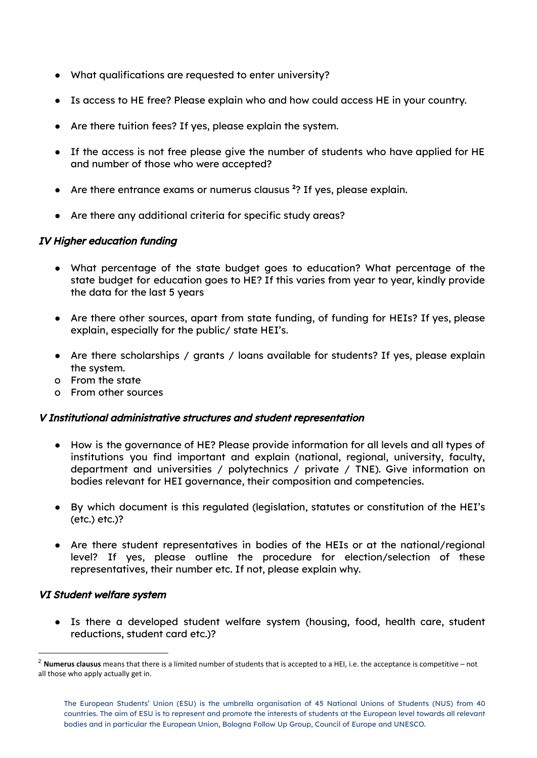- What qualifications are requested to enter university?
- Is access to HE free? Please explain who and how could access HE in your country.
- Are there tuition fees? If yes, please explain the system.
- If the access is not free please give the number of students who have applied for HE and number of those who were accepted?
- Are there entrance exams or numerus clausus<sup>2</sup>? If yes, please explain.
- Are there any additional criteria for specific study areas?

#### IV Higher education funding

- What percentage of the state budget goes to education? What percentage of the state budget for education goes to HE? If this varies from year to year, kindly provide the data for the last 5 years
- Are there other sources, apart from state funding, of funding for HEIs? If yes, please explain, especially for the public/ state HEI's.
- Are there scholarships / grants / loans available for students? If yes, please explain the system.
- o From the state
- o From other sources

#### V Institutional administrative structures and student representation

- How is the governance of HE? Please provide information for all levels and all types of institutions you find important and explain (national, regional, university, faculty, department and universities / polytechnics / private / TNE). Give information on bodies relevant for HEI governance, their composition and competencies.
- By which document is this regulated (legislation, statutes or constitution of the HEI's (etc.) etc.)?
- Are there student representatives in bodies of the HEIs or at the national/regional level? If yes, please outline the procedure for election/selection of these representatives, their number etc. If not, please explain why.

#### VI Student welfare system

● Is there a developed student welfare system (housing, food, health care, student reductions, student card etc.)?

<sup>2</sup> **Numerus clausus** means that there is a limited number of students that is accepted to a HEI, i.e. the acceptance is competitive – not all those who apply actually get in.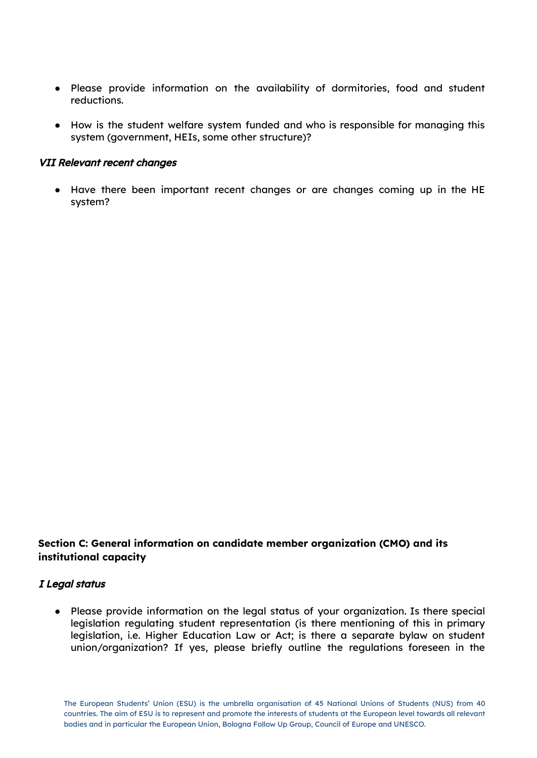- Please provide information on the availability of dormitories, food and student reductions.
- How is the student welfare system funded and who is responsible for managing this system (government, HEIs, some other structure)?

#### VII Relevant recent changes

● Have there been important recent changes or are changes coming up in the HE system?

# **Section C: General information on candidate member organization (CMO) and its institutional capacity**

#### I Legal status

● Please provide information on the legal status of your organization. Is there special legislation regulating student representation (is there mentioning of this in primary legislation, i.e. Higher Education Law or Act; is there a separate bylaw on student union/organization? If yes, please briefly outline the regulations foreseen in the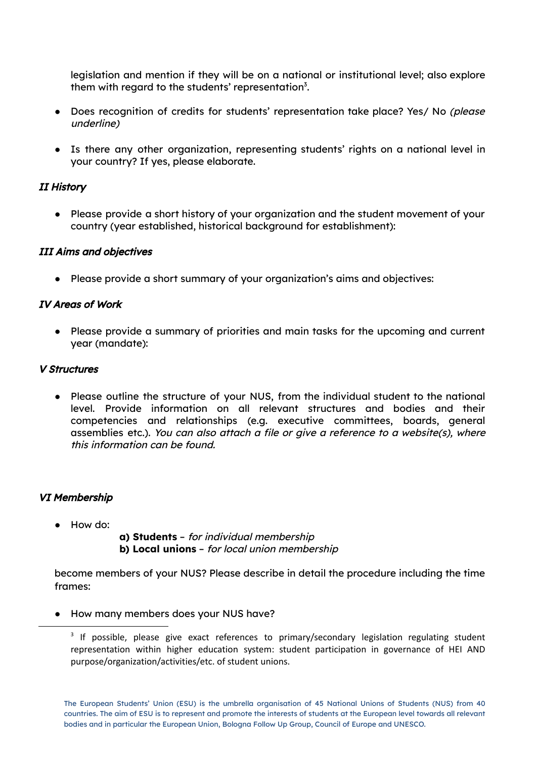legislation and mention if they will be on a national or institutional level; also explore them with regard to the students' representation $3$ .

- Does recognition of credits for students' representation take place? Yes/ No (please underline)
- Is there any other organization, representing students' rights on a national level in your country? If yes, please elaborate.

# II History

● Please provide a short history of your organization and the student movement of your country (year established, historical background for establishment):

# III Aims and objectives

● Please provide a short summary of your organization's aims and objectives:

# IV Areas of Work

● Please provide a summary of priorities and main tasks for the upcoming and current year (mandate):

# V Structures

● Please outline the structure of your NUS, from the individual student to the national level. Provide information on all relevant structures and bodies and their competencies and relationships (e.g. executive committees, boards, general assemblies etc.). You can also attach <sup>a</sup> file or give <sup>a</sup> reference to <sup>a</sup> website(s), where this information can be found.

# VI Membership

● How do:

**a) Students** – for individual membership **b) Local unions** – for local union membership

become members of your NUS? Please describe in detail the procedure including the time frames:

● How many members does your NUS have?

<sup>&</sup>lt;sup>3</sup> If possible, please give exact references to primary/secondary legislation regulating student representation within higher education system: student participation in governance of HEI AND purpose/organization/activities/etc. of student unions.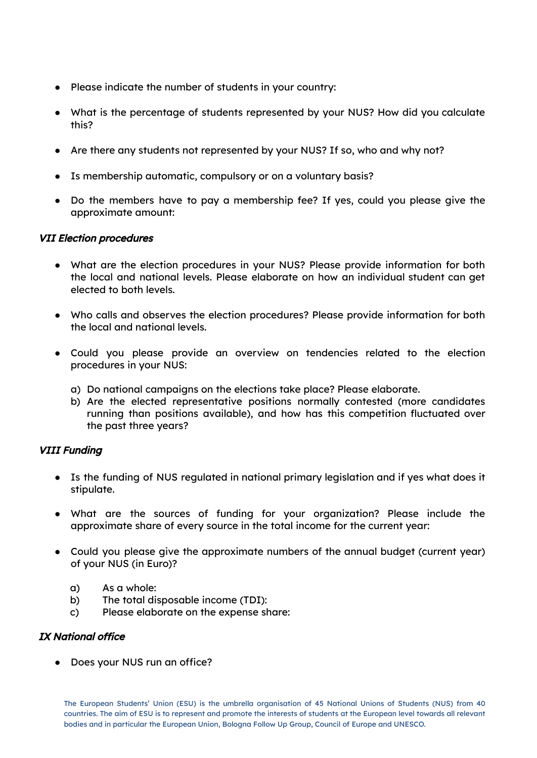- Please indicate the number of students in your country:
- What is the percentage of students represented by your NUS? How did you calculate this?
- Are there any students not represented by your NUS? If so, who and why not?
- Is membership automatic, compulsory or on a voluntary basis?
- Do the members have to pay a membership fee? If yes, could you please give the approximate amount:

#### VII Election procedures

- What are the election procedures in your NUS? Please provide information for both the local and national levels. Please elaborate on how an individual student can get elected to both levels.
- Who calls and observes the election procedures? Please provide information for both the local and national levels.
- Could you please provide an overview on tendencies related to the election procedures in your NUS:
	- a) Do national campaigns on the elections take place? Please elaborate.
	- b) Are the elected representative positions normally contested (more candidates running than positions available), and how has this competition fluctuated over the past three years?

#### VIII Funding

- Is the funding of NUS regulated in national primary legislation and if yes what does it stipulate.
- What are the sources of funding for your organization? Please include the approximate share of every source in the total income for the current year:
- Could you please give the approximate numbers of the annual budget (current year) of your NUS (in Euro)?
	- a) As a whole:
	- b) The total disposable income (TDI):
	- c) Please elaborate on the expense share:

#### IX National office

● Does your NUS run an office?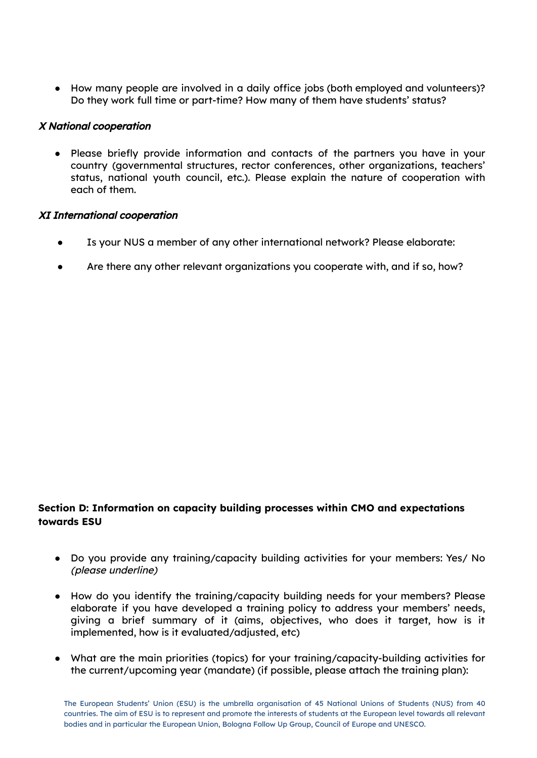● How many people are involved in a daily office jobs (both employed and volunteers)? Do they work full time or part-time? How many of them have students' status?

#### X National cooperation

● Please briefly provide information and contacts of the partners you have in your country (governmental structures, rector conferences, other organizations, teachers' status, national youth council, etc.). Please explain the nature of cooperation with each of them.

#### XI International cooperation

- Is your NUS a member of any other international network? Please elaborate:
- Are there any other relevant organizations you cooperate with, and if so, how?

# **Section D: Information on capacity building processes within CMO and expectations towards ESU**

- Do you provide any training/capacity building activities for your members: Yes/ No (please underline)
- How do you identify the training/capacity building needs for your members? Please elaborate if you have developed a training policy to address your members' needs, giving a brief summary of it (aims, objectives, who does it target, how is it implemented, how is it evaluated/adjusted, etc)
- What are the main priorities (topics) for your training/capacity-building activities for the current/upcoming year (mandate) (if possible, please attach the training plan):